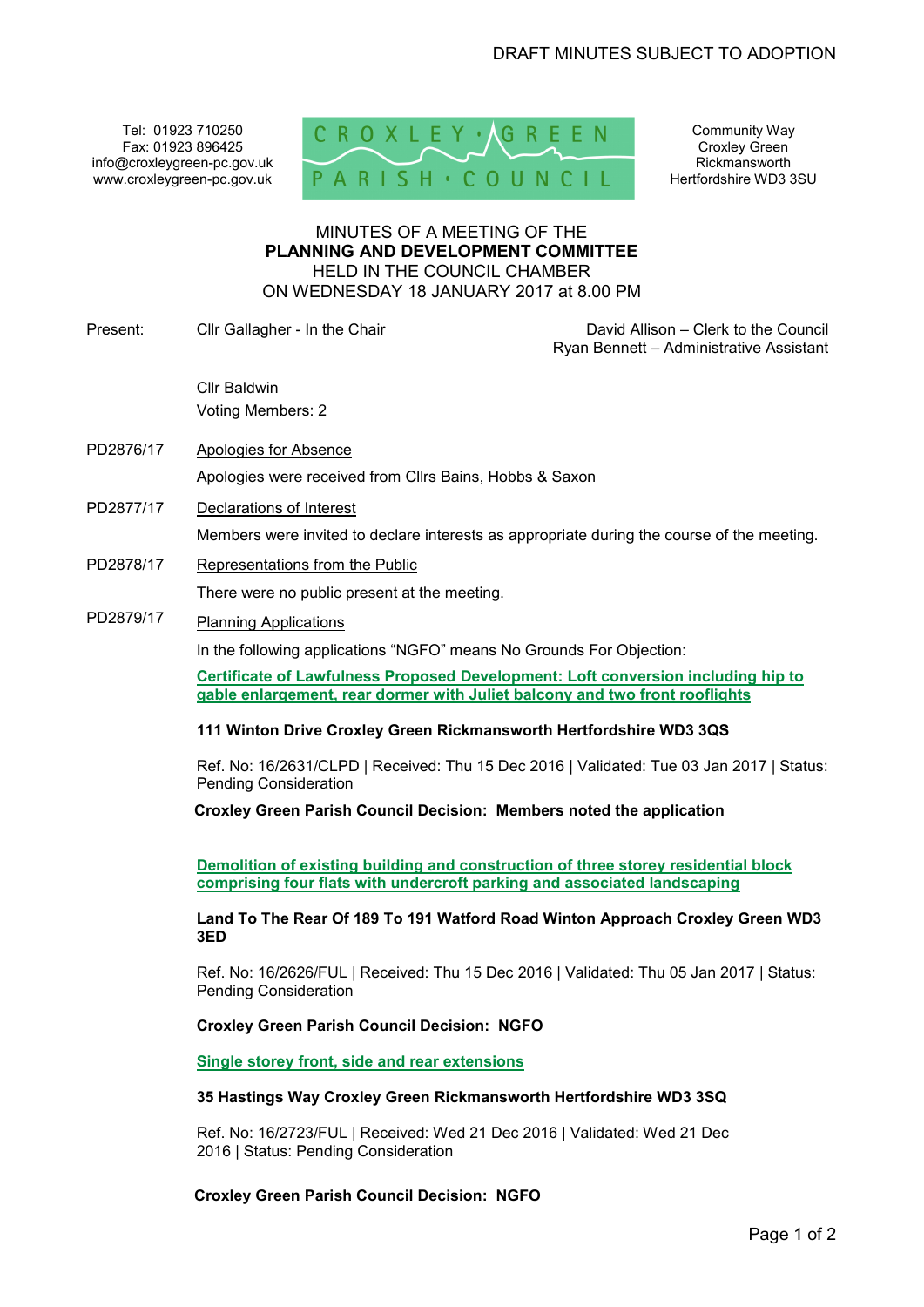Tel: 01923 710250 Fax: 01923 896425 info@croxleygreen-pc.gov.uk www.croxleygreen-pc.gov.uk



Community Way Croxley Green Rickmansworth Hertfordshire WD3 3SU

## MINUTES OF A MEETING OF THE **PLANNING AND DEVELOPMENT COMMITTEE** HELD IN THE COUNCIL CHAMBER ON WEDNESDAY 18 JANUARY 2017 at 8.00 PM

Present: Cllr Gallagher - In the Chair Chair David Allison – Clerk to the Council

Ryan Bennett – Administrative Assistant

Cllr Baldwin Voting Members: 2

- PD2876/17 Apologies for Absence Apologies were received from Cllrs Bains, Hobbs & Saxon
- PD2877/17 Declarations of Interest

Members were invited to declare interests as appropriate during the course of the meeting.

PD2878/17 Representations from the Public

There were no public present at the meeting.

# PD2879/17 Planning Applications

In the following applications "NGFO" means No Grounds For Objection:

**Certificate of Lawfulness Proposed Development: Loft conversion including hip to gable enlargement, rear dormer with Juliet balcony and two front rooflights** 

#### **111 Winton Drive Croxley Green Rickmansworth Hertfordshire WD3 3QS**

Ref. No: 16/2631/CLPD | Received: Thu 15 Dec 2016 | Validated: Tue 03 Jan 2017 | Status: Pending Consideration

**Croxley Green Parish Council Decision: Members noted the application** 

**Demolition of existing building and construction of three storey residential block comprising four flats with undercroft parking and associated landscaping** 

**Land To The Rear Of 189 To 191 Watford Road Winton Approach Croxley Green WD3 3ED** 

Ref. No: 16/2626/FUL | Received: Thu 15 Dec 2016 | Validated: Thu 05 Jan 2017 | Status: Pending Consideration

## **Croxley Green Parish Council Decision: NGFO**

**Single storey front, side and rear extensions** 

#### **35 Hastings Way Croxley Green Rickmansworth Hertfordshire WD3 3SQ**

Ref. No: 16/2723/FUL | Received: Wed 21 Dec 2016 | Validated: Wed 21 Dec 2016 | Status: Pending Consideration

**Croxley Green Parish Council Decision: NGFO**